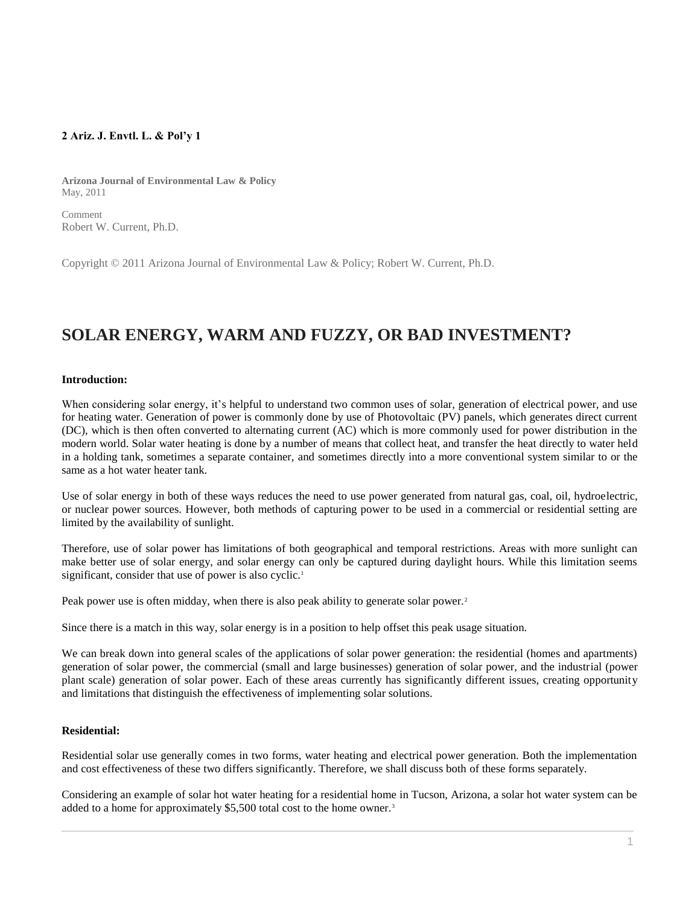# **2 Ariz. J. Envtl. L. & Pol'y 1**

**Arizona Journal of Environmental Law & Policy** May, 2011

Comment Robert W. Current, Ph.D.

Copyright © 2011 Arizona Journal of Environmental Law & Policy; Robert W. Current, Ph.D.

# **SOLAR ENERGY, WARM AND FUZZY, OR BAD INVESTMENT?**

### **Introduction:**

When considering solar energy, it's helpful to understand two common uses of solar, generation of electrical power, and use for heating water. Generation of power is commonly done by use of Photovoltaic (PV) panels, which generates direct current (DC), which is then often converted to alternating current (AC) which is more commonly used for power distribution in the modern world. Solar water heating is done by a number of means that collect heat, and transfer the heat directly to water held in a holding tank, sometimes a separate container, and sometimes directly into a more conventional system similar to or the same as a hot water heater tank.

Use of solar energy in both of these ways reduces the need to use power generated from natural gas, coal, oil, hydroelectric, or nuclear power sources. However, both methods of capturing power to be used in a commercial or residential setting are limited by the availability of sunlight.

Therefore, use of solar power has limitations of both geographical and temporal restrictions. Areas with more sunlight can make better use of solar energy, and solar energy can only be captured during daylight hours. While this limitation seems significant, consider that use of power is also cyclic.<sup>1</sup>

Peak power use is often midday, when there is also peak ability to generate solar power.<sup>2</sup>

Since there is a match in this way, solar energy is in a position to help offset this peak usage situation.

We can break down into general scales of the applications of solar power generation: the residential (homes and apartments) generation of solar power, the commercial (small and large businesses) generation of solar power, and the industrial (power plant scale) generation of solar power. Each of these areas currently has significantly different issues, creating opportunity and limitations that distinguish the effectiveness of implementing solar solutions.

## **Residential:**

Residential solar use generally comes in two forms, water heating and electrical power generation. Both the implementation and cost effectiveness of these two differs significantly. Therefore, we shall discuss both of these forms separately.

Considering an example of solar hot water heating for a residential home in Tucson, Arizona, a solar hot water system can be added to a home for approximately \$5,500 total cost to the home owner.<sup>3</sup>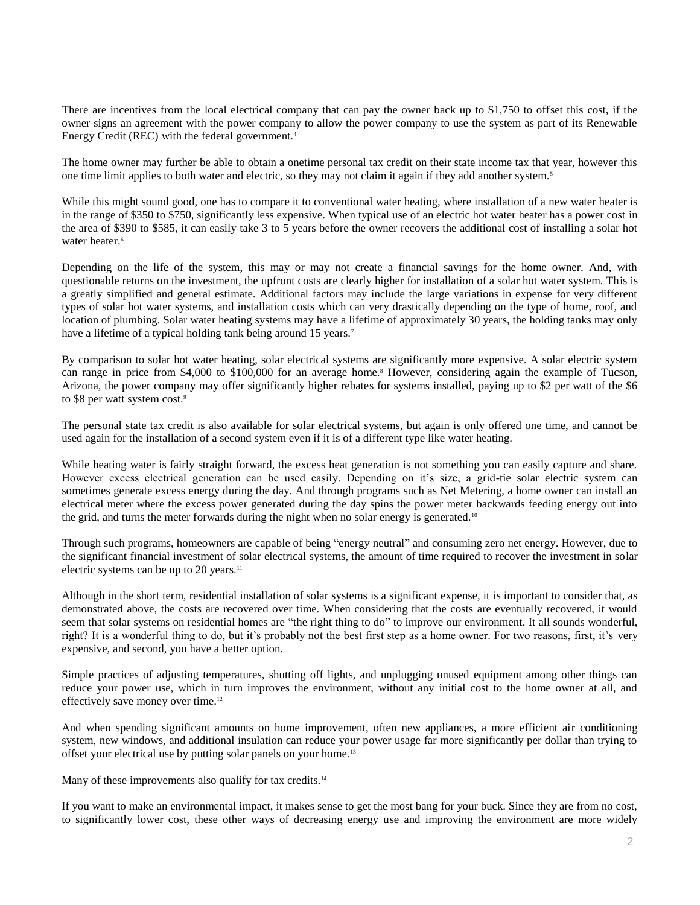There are incentives from the local electrical company that can pay the owner back up to \$1,750 to offset this cost, if the owner signs an agreement with the power company to allow the power company to use the system as part of its Renewable Energy Credit (REC) with the federal government.<sup>4</sup>

The home owner may further be able to obtain a onetime personal tax credit on their state income tax that year, however this one time limit applies to both water and electric, so they may not claim it again if they add another system.<sup>5</sup>

While this might sound good, one has to compare it to conventional water heating, where installation of a new water heater is in the range of \$350 to \$750, significantly less expensive. When typical use of an electric hot water heater has a power cost in the area of \$390 to \$585, it can easily take 3 to 5 years before the owner recovers the additional cost of installing a solar hot water heater.<sup>6</sup>

Depending on the life of the system, this may or may not create a financial savings for the home owner. And, with questionable returns on the investment, the upfront costs are clearly higher for installation of a solar hot water system. This is a greatly simplified and general estimate. Additional factors may include the large variations in expense for very different types of solar hot water systems, and installation costs which can very drastically depending on the type of home, roof, and location of plumbing. Solar water heating systems may have a lifetime of approximately 30 years, the holding tanks may only have a lifetime of a typical holding tank being around 15 years.<sup>7</sup>

By comparison to solar hot water heating, solar electrical systems are significantly more expensive. A solar electric system can range in price from \$4,000 to \$100,000 for an average home.<sup>8</sup> However, considering again the example of Tucson, Arizona, the power company may offer significantly higher rebates for systems installed, paying up to \$2 per watt of the \$6 to \$8 per watt system cost.<sup>9</sup>

The personal state tax credit is also available for solar electrical systems, but again is only offered one time, and cannot be used again for the installation of a second system even if it is of a different type like water heating.

While heating water is fairly straight forward, the excess heat generation is not something you can easily capture and share. However excess electrical generation can be used easily. Depending on it's size, a grid-tie solar electric system can sometimes generate excess energy during the day. And through programs such as Net Metering, a home owner can install an electrical meter where the excess power generated during the day spins the power meter backwards feeding energy out into the grid, and turns the meter forwards during the night when no solar energy is generated.<sup>10</sup>

Through such programs, homeowners are capable of being "energy neutral" and consuming zero net energy. However, due to the significant financial investment of solar electrical systems, the amount of time required to recover the investment in solar electric systems can be up to 20 years.<sup>11</sup>

Although in the short term, residential installation of solar systems is a significant expense, it is important to consider that, as demonstrated above, the costs are recovered over time. When considering that the costs are eventually recovered, it would seem that solar systems on residential homes are "the right thing to do" to improve our environment. It all sounds wonderful, right? It is a wonderful thing to do, but it's probably not the best first step as a home owner. For two reasons, first, it's very expensive, and second, you have a better option.

Simple practices of adjusting temperatures, shutting off lights, and unplugging unused equipment among other things can reduce your power use, which in turn improves the environment, without any initial cost to the home owner at all, and effectively save money over time.<sup>12</sup>

And when spending significant amounts on home improvement, often new appliances, a more efficient air conditioning system, new windows, and additional insulation can reduce your power usage far more significantly per dollar than trying to offset your electrical use by putting solar panels on your home.<sup>13</sup>

Many of these improvements also qualify for tax credits.<sup>14</sup>

If you want to make an environmental impact, it makes sense to get the most bang for your buck. Since they are from no cost, to significantly lower cost, these other ways of decreasing energy use and improving the environment are more widely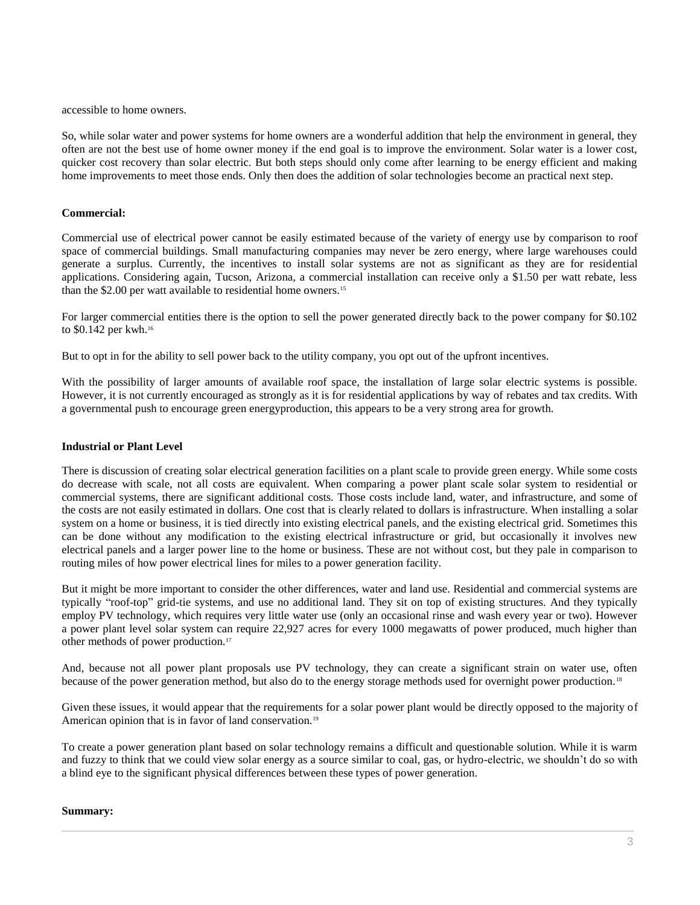accessible to home owners.

So, while solar water and power systems for home owners are a wonderful addition that help the environment in general, they often are not the best use of home owner money if the end goal is to improve the environment. Solar water is a lower cost, quicker cost recovery than solar electric. But both steps should only come after learning to be energy efficient and making home improvements to meet those ends. Only then does the addition of solar technologies become an practical next step.

### **Commercial:**

Commercial use of electrical power cannot be easily estimated because of the variety of energy use by comparison to roof space of commercial buildings. Small manufacturing companies may never be zero energy, where large warehouses could generate a surplus. Currently, the incentives to install solar systems are not as significant as they are for residential applications. Considering again, Tucson, Arizona, a commercial installation can receive only a \$1.50 per watt rebate, less than the \$2.00 per watt available to residential home owners.<sup>15</sup>

For larger commercial entities there is the option to sell the power generated directly back to the power company for \$0.102 to \$0.142 per kwh.<sup>16</sup>

But to opt in for the ability to sell power back to the utility company, you opt out of the upfront incentives.

With the possibility of larger amounts of available roof space, the installation of large solar electric systems is possible. However, it is not currently encouraged as strongly as it is for residential applications by way of rebates and tax credits. With a governmental push to encourage green energyproduction, this appears to be a very strong area for growth.

### **Industrial or Plant Level**

There is discussion of creating solar electrical generation facilities on a plant scale to provide green energy. While some costs do decrease with scale, not all costs are equivalent. When comparing a power plant scale solar system to residential or commercial systems, there are significant additional costs. Those costs include land, water, and infrastructure, and some of the costs are not easily estimated in dollars. One cost that is clearly related to dollars is infrastructure. When installing a solar system on a home or business, it is tied directly into existing electrical panels, and the existing electrical grid. Sometimes this can be done without any modification to the existing electrical infrastructure or grid, but occasionally it involves new electrical panels and a larger power line to the home or business. These are not without cost, but they pale in comparison to routing miles of how power electrical lines for miles to a power generation facility.

But it might be more important to consider the other differences, water and land use. Residential and commercial systems are typically "roof-top" grid-tie systems, and use no additional land. They sit on top of existing structures. And they typically employ PV technology, which requires very little water use (only an occasional rinse and wash every year or two). However a power plant level solar system can require 22,927 acres for every 1000 megawatts of power produced, much higher than other methods of power production.<sup>17</sup>

And, because not all power plant proposals use PV technology, they can create a significant strain on water use, often because of the power generation method, but also do to the energy storage methods used for overnight power production. <sup>18</sup>

Given these issues, it would appear that the requirements for a solar power plant would be directly opposed to the majority of American opinion that is in favor of land conservation.<sup>19</sup>

To create a power generation plant based on solar technology remains a difficult and questionable solution. While it is warm and fuzzy to think that we could view solar energy as a source similar to coal, gas, or hydro-electric, we shouldn't do so with a blind eye to the significant physical differences between these types of power generation.

#### **Summary:**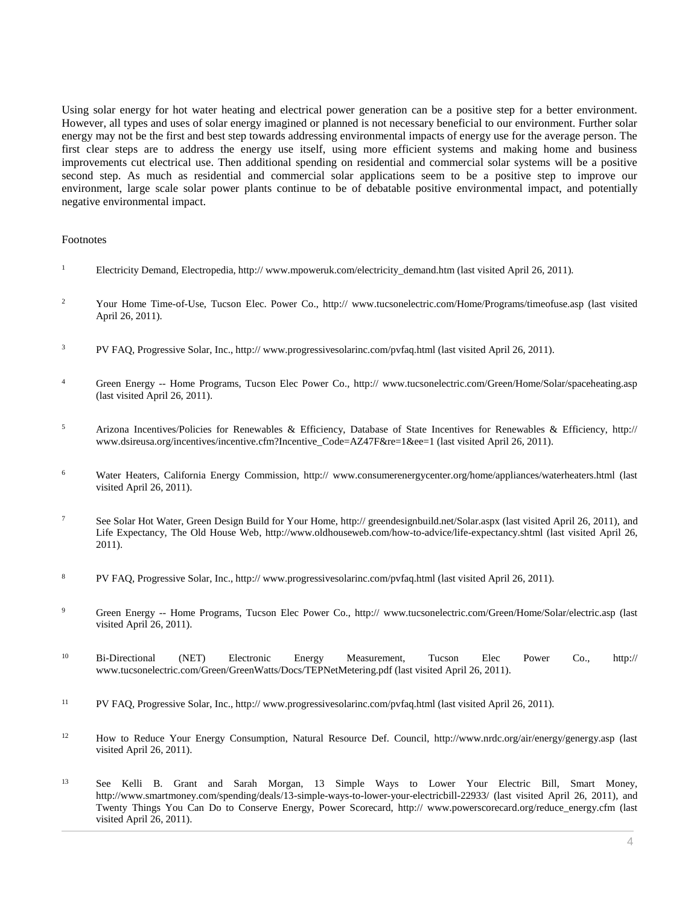Using solar energy for hot water heating and electrical power generation can be a positive step for a better environment. However, all types and uses of solar energy imagined or planned is not necessary beneficial to our environment. Further solar energy may not be the first and best step towards addressing environmental impacts of energy use for the average person. The first clear steps are to address the energy use itself, using more efficient systems and making home and business improvements cut electrical use. Then additional spending on residential and commercial solar systems will be a positive second step. As much as residential and commercial solar applications seem to be a positive step to improve our environment, large scale solar power plants continue to be of debatable positive environmental impact, and potentially negative environmental impact.

#### Footnotes

- <sup>1</sup> Electricity Demand, Electropedia, http:// www.mpoweruk.com/electricity\_demand.htm (last visited April 26, 2011).
- <sup>2</sup> Your Home Time-of-Use, Tucson Elec. Power Co., http:// www.tucsonelectric.com/Home/Programs/timeofuse.asp (last visited April 26, 2011).
- <sup>3</sup> PV FAQ, Progressive Solar, Inc., http:// www.progressivesolarinc.com/pvfaq.html (last visited April 26, 2011).
- <sup>4</sup> Green Energy -- Home Programs, Tucson Elec Power Co., http:// www.tucsonelectric.com/Green/Home/Solar/spaceheating.asp (last visited April 26, 2011).
- <sup>5</sup> Arizona Incentives/Policies for Renewables & Efficiency, Database of State Incentives for Renewables & Efficiency, http:// www.dsireusa.org/incentives/incentive.cfm?Incentive\_Code=AZ47F&re=1&ee=1 (last visited April 26, 2011).
- <sup>6</sup> Water Heaters, California Energy Commission, http:// www.consumerenergycenter.org/home/appliances/waterheaters.html (last visited April 26, 2011).
- <sup>7</sup> See Solar Hot Water, Green Design Build for Your Home, http:// greendesignbuild.net/Solar.aspx (last visited April 26, 2011), and Life Expectancy, The Old House Web, http://www.oldhouseweb.com/how-to-advice/life-expectancy.shtml (last visited April 26, 2011).
- <sup>8</sup> PV FAQ, Progressive Solar, Inc., http:// www.progressivesolarinc.com/pvfaq.html (last visited April 26, 2011).
- 9 Green Energy -- Home Programs, Tucson Elec Power Co., http:// www.tucsonelectric.com/Green/Home/Solar/electric.asp (last visited April 26, 2011).
- <sup>10</sup> Bi-Directional (NET) Electronic Energy Measurement, Tucson Elec Power Co., http:// www.tucsonelectric.com/Green/GreenWatts/Docs/TEPNetMetering.pdf (last visited April 26, 2011).
- <sup>11</sup> PV FAQ, Progressive Solar, Inc., http:// www.progressivesolarinc.com/pvfaq.html (last visited April 26, 2011).
- <sup>12</sup> How to Reduce Your Energy Consumption, Natural Resource Def. Council, http://www.nrdc.org/air/energy/genergy.asp (last visited April 26, 2011).
- <sup>13</sup> See Kelli B. Grant and Sarah Morgan, 13 Simple Ways to Lower Your Electric Bill, Smart Money, http://www.smartmoney.com/spending/deals/13-simple-ways-to-lower-your-electricbill-22933/ (last visited April 26, 2011), and Twenty Things You Can Do to Conserve Energy, Power Scorecard, http:// www.powerscorecard.org/reduce\_energy.cfm (last visited April 26, 2011).